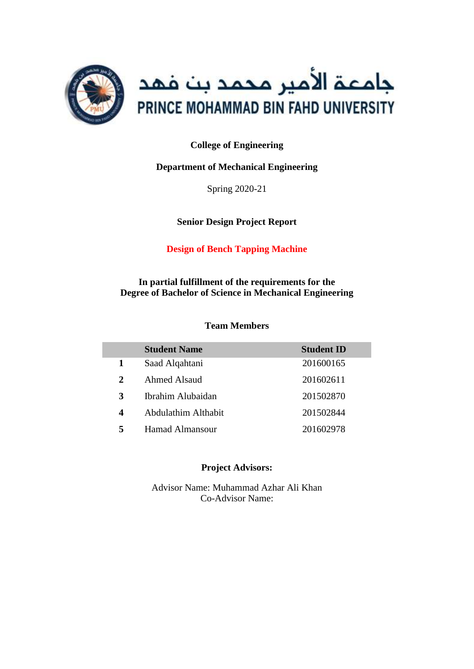

#### **College of Engineering**

#### **Department of Mechanical Engineering**

Spring 2020-21

**Senior Design Project Report**

#### **Design of Bench Tapping Machine**

**In partial fulfillment of the requirements for the Degree of Bachelor of Science in Mechanical Engineering**

#### **Team Members**

|                  | <b>Student Name</b> | <b>Student ID</b> |
|------------------|---------------------|-------------------|
| 1                | Saad Alqahtani      | 201600165         |
| 2                | <b>Ahmed Alsaud</b> | 201602611         |
| 3                | Ibrahim Alubaidan   | 201502870         |
| $\boldsymbol{4}$ | Abdulathim Althabit | 201502844         |
| 5                | Hamad Almansour     | 201602978         |

#### **Project Advisors:**

Advisor Name: Muhammad Azhar Ali Khan Co-Advisor Name: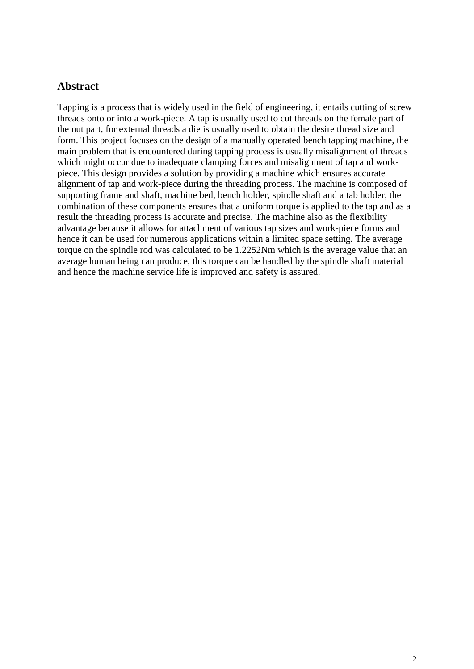#### <span id="page-1-0"></span>**Abstract**

Tapping is a process that is widely used in the field of engineering, it entails cutting of screw threads onto or into a work-piece. A tap is usually used to cut threads on the female part of the nut part, for external threads a die is usually used to obtain the desire thread size and form. This project focuses on the design of a manually operated bench tapping machine, the main problem that is encountered during tapping process is usually misalignment of threads which might occur due to inadequate clamping forces and misalignment of tap and workpiece. This design provides a solution by providing a machine which ensures accurate alignment of tap and work-piece during the threading process. The machine is composed of supporting frame and shaft, machine bed, bench holder, spindle shaft and a tab holder, the combination of these components ensures that a uniform torque is applied to the tap and as a result the threading process is accurate and precise. The machine also as the flexibility advantage because it allows for attachment of various tap sizes and work-piece forms and hence it can be used for numerous applications within a limited space setting. The average torque on the spindle rod was calculated to be 1.2252Nm which is the average value that an average human being can produce, this torque can be handled by the spindle shaft material and hence the machine service life is improved and safety is assured.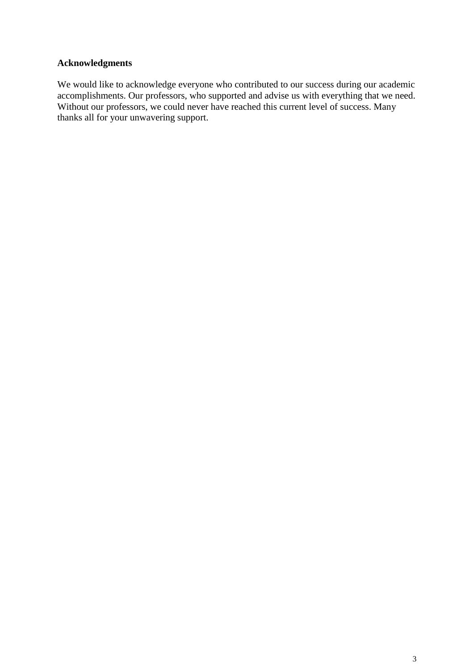#### <span id="page-2-0"></span>**Acknowledgments**

We would like to acknowledge everyone who contributed to our success during our academic accomplishments. Our professors, who supported and advise us with everything that we need. Without our professors, we could never have reached this current level of success. Many thanks all for your unwavering support.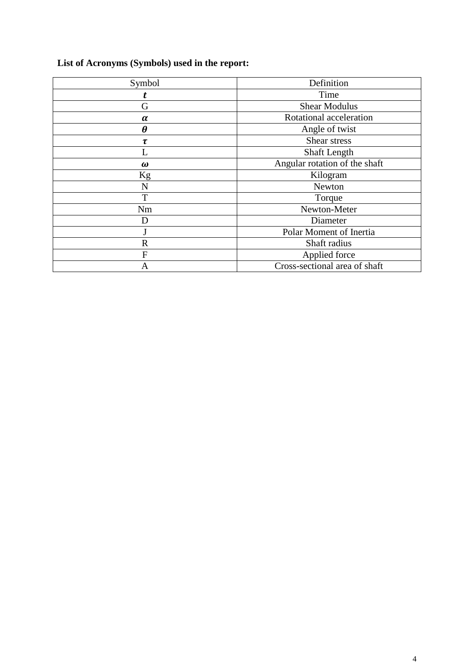## <span id="page-3-0"></span>**List of Acronyms (Symbols) used in the report:**

| Symbol                | Definition                    |  |  |  |
|-----------------------|-------------------------------|--|--|--|
| t                     | Time                          |  |  |  |
| G                     | <b>Shear Modulus</b>          |  |  |  |
| $\alpha$              | Rotational acceleration       |  |  |  |
| $\boldsymbol{\theta}$ | Angle of twist                |  |  |  |
| $\tau$                | Shear stress                  |  |  |  |
|                       | Shaft Length                  |  |  |  |
| $\omega$              | Angular rotation of the shaft |  |  |  |
| Kg                    | Kilogram                      |  |  |  |
| N                     | Newton                        |  |  |  |
| T                     | Torque                        |  |  |  |
| Nm                    | Newton-Meter                  |  |  |  |
| D                     | Diameter                      |  |  |  |
|                       | Polar Moment of Inertia       |  |  |  |
| $\mathbb{R}$          | Shaft radius                  |  |  |  |
| $\mathbf{F}$          | Applied force                 |  |  |  |
| Α                     | Cross-sectional area of shaft |  |  |  |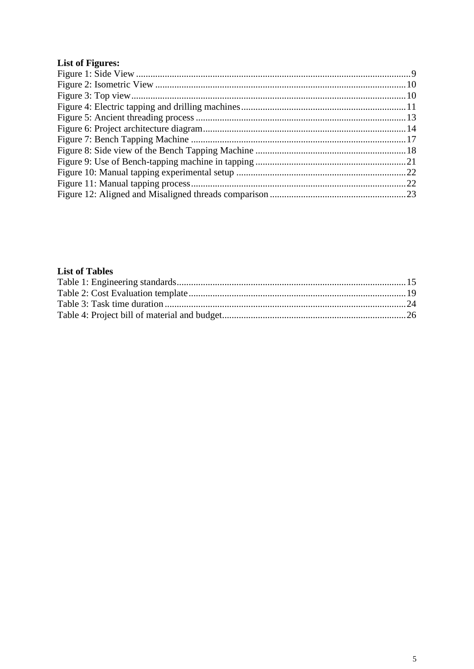## <span id="page-4-0"></span>**List of Figures:**

#### <span id="page-4-1"></span>**List of Tables**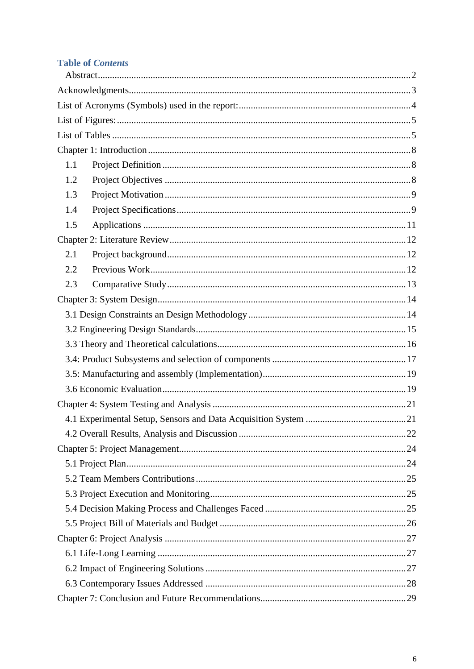### **Table of Contents**

| 1.1 |  |  |  |  |  |  |
|-----|--|--|--|--|--|--|
| 1.2 |  |  |  |  |  |  |
| 1.3 |  |  |  |  |  |  |
| 1.4 |  |  |  |  |  |  |
| 1.5 |  |  |  |  |  |  |
|     |  |  |  |  |  |  |
| 2.1 |  |  |  |  |  |  |
| 2.2 |  |  |  |  |  |  |
| 2.3 |  |  |  |  |  |  |
|     |  |  |  |  |  |  |
|     |  |  |  |  |  |  |
|     |  |  |  |  |  |  |
|     |  |  |  |  |  |  |
|     |  |  |  |  |  |  |
|     |  |  |  |  |  |  |
|     |  |  |  |  |  |  |
|     |  |  |  |  |  |  |
|     |  |  |  |  |  |  |
|     |  |  |  |  |  |  |
|     |  |  |  |  |  |  |
|     |  |  |  |  |  |  |
|     |  |  |  |  |  |  |
|     |  |  |  |  |  |  |
|     |  |  |  |  |  |  |
|     |  |  |  |  |  |  |
|     |  |  |  |  |  |  |
|     |  |  |  |  |  |  |
|     |  |  |  |  |  |  |
|     |  |  |  |  |  |  |
|     |  |  |  |  |  |  |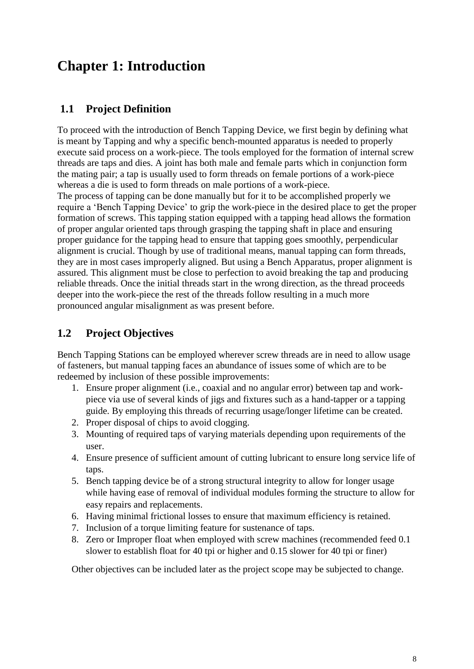## <span id="page-7-0"></span>**Chapter 1: Introduction**

### <span id="page-7-1"></span>**1.1 Project Definition**

To proceed with the introduction of Bench Tapping Device, we first begin by defining what is meant by Tapping and why a specific bench-mounted apparatus is needed to properly execute said process on a work-piece. The tools employed for the formation of internal screw threads are taps and dies. A joint has both male and female parts which in conjunction form the mating pair; a tap is usually used to form threads on female portions of a work-piece whereas a die is used to form threads on male portions of a work-piece. The process of tapping can be done manually but for it to be accomplished properly we require a 'Bench Tapping Device' to grip the work-piece in the desired place to get the proper formation of screws. This tapping station equipped with a tapping head allows the formation of proper angular oriented taps through grasping the tapping shaft in place and ensuring proper guidance for the tapping head to ensure that tapping goes smoothly, perpendicular alignment is crucial. Though by use of traditional means, manual tapping can form threads, they are in most cases improperly aligned. But using a Bench Apparatus, proper alignment is assured. This alignment must be close to perfection to avoid breaking the tap and producing reliable threads. Once the initial threads start in the wrong direction, as the thread proceeds deeper into the work-piece the rest of the threads follow resulting in a much more pronounced angular misalignment as was present before.

## <span id="page-7-2"></span>**1.2 Project Objectives**

Bench Tapping Stations can be employed wherever screw threads are in need to allow usage of fasteners, but manual tapping faces an abundance of issues some of which are to be redeemed by inclusion of these possible improvements:

- 1. Ensure proper alignment (i.e., coaxial and no angular error) between tap and workpiece via use of several kinds of jigs and fixtures such as a hand-tapper or a tapping guide. By employing this threads of recurring usage/longer lifetime can be created.
- 2. Proper disposal of chips to avoid clogging.
- 3. Mounting of required taps of varying materials depending upon requirements of the user.
- 4. Ensure presence of sufficient amount of cutting lubricant to ensure long service life of taps.
- 5. Bench tapping device be of a strong structural integrity to allow for longer usage while having ease of removal of individual modules forming the structure to allow for easy repairs and replacements.
- 6. Having minimal frictional losses to ensure that maximum efficiency is retained.
- 7. Inclusion of a torque limiting feature for sustenance of taps.
- 8. Zero or Improper float when employed with screw machines (recommended feed 0.1 slower to establish float for 40 tpi or higher and 0.15 slower for 40 tpi or finer)

Other objectives can be included later as the project scope may be subjected to change.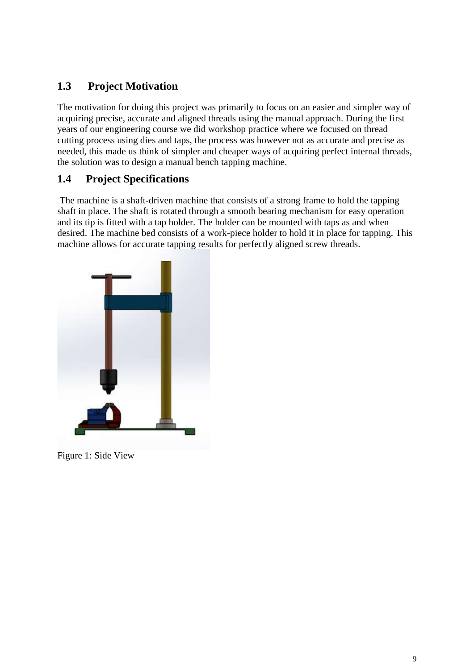## <span id="page-8-1"></span>**1.3 Project Motivation**

The motivation for doing this project was primarily to focus on an easier and simpler way of acquiring precise, accurate and aligned threads using the manual approach. During the first years of our engineering course we did workshop practice where we focused on thread cutting process using dies and taps, the process was however not as accurate and precise as needed, this made us think of simpler and cheaper ways of acquiring perfect internal threads, the solution was to design a manual bench tapping machine.

## <span id="page-8-2"></span>**1.4 Project Specifications**

The machine is a shaft-driven machine that consists of a strong frame to hold the tapping shaft in place. The shaft is rotated through a smooth bearing mechanism for easy operation and its tip is fitted with a tap holder. The holder can be mounted with taps as and when desired. The machine bed consists of a work-piece holder to hold it in place for tapping. This machine allows for accurate tapping results for perfectly aligned screw threads.

<span id="page-8-0"></span>

Figure 1: Side View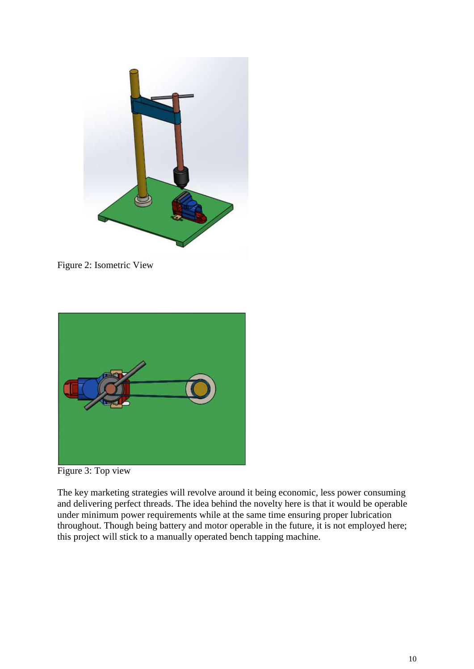

Figure 2: Isometric View

<span id="page-9-0"></span>

Figure 3: Top view

<span id="page-9-1"></span>The key marketing strategies will revolve around it being economic, less power consuming and delivering perfect threads. The idea behind the novelty here is that it would be operable under minimum power requirements while at the same time ensuring proper lubrication throughout. Though being battery and motor operable in the future, it is not employed here; this project will stick to a manually operated bench tapping machine.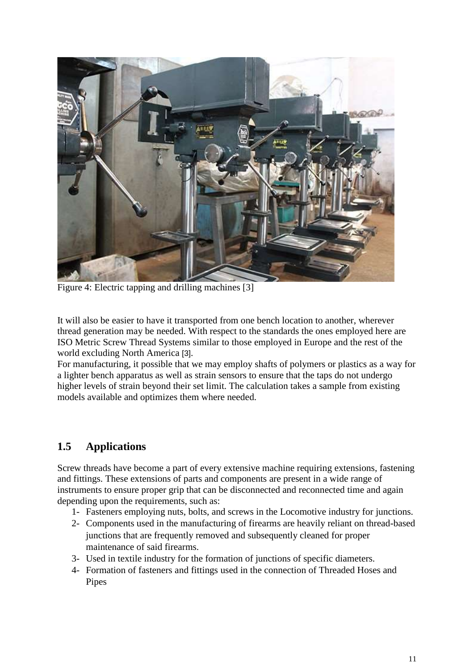

Figure 4: Electric tapping and drilling machines [3]

<span id="page-10-0"></span>It will also be easier to have it transported from one bench location to another, wherever thread generation may be needed. With respect to the standards the ones employed here are ISO Metric Screw Thread Systems similar to those employed in Europe and the rest of the world excluding North America [3].

For manufacturing, it possible that we may employ shafts of polymers or plastics as a way for a lighter bench apparatus as well as strain sensors to ensure that the taps do not undergo higher levels of strain beyond their set limit. The calculation takes a sample from existing models available and optimizes them where needed.

## <span id="page-10-1"></span>**1.5 Applications**

Screw threads have become a part of every extensive machine requiring extensions, fastening and fittings. These extensions of parts and components are present in a wide range of instruments to ensure proper grip that can be disconnected and reconnected time and again depending upon the requirements, such as:

- 1- Fasteners employing nuts, bolts, and screws in the Locomotive industry for junctions.
- 2- Components used in the manufacturing of firearms are heavily reliant on thread-based junctions that are frequently removed and subsequently cleaned for proper maintenance of said firearms.
- 3- Used in textile industry for the formation of junctions of specific diameters.
- 4- Formation of fasteners and fittings used in the connection of Threaded Hoses and Pipes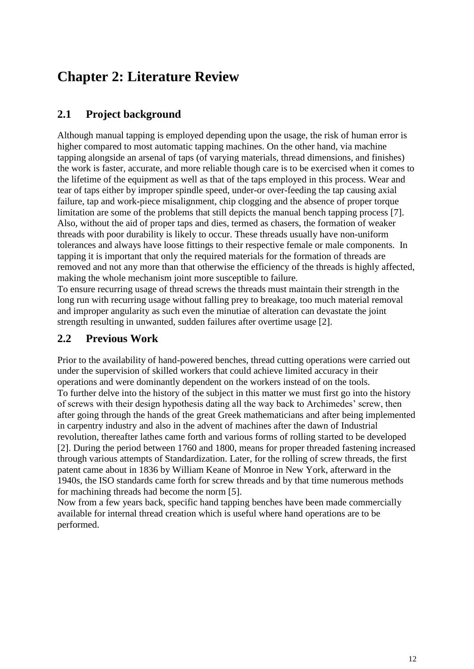## <span id="page-11-0"></span>**Chapter 2: Literature Review**

## <span id="page-11-1"></span>**2.1 Project background**

Although manual tapping is employed depending upon the usage, the risk of human error is higher compared to most automatic tapping machines. On the other hand, via machine tapping alongside an arsenal of taps (of varying materials, thread dimensions, and finishes) the work is faster, accurate, and more reliable though care is to be exercised when it comes to the lifetime of the equipment as well as that of the taps employed in this process. Wear and tear of taps either by improper spindle speed, under-or over-feeding the tap causing axial failure, tap and work-piece misalignment, chip clogging and the absence of proper torque limitation are some of the problems that still depicts the manual bench tapping process [7]. Also, without the aid of proper taps and dies, termed as chasers, the formation of weaker threads with poor durability is likely to occur. These threads usually have non-uniform tolerances and always have loose fittings to their respective female or male components. In tapping it is important that only the required materials for the formation of threads are removed and not any more than that otherwise the efficiency of the threads is highly affected, making the whole mechanism joint more susceptible to failure.

To ensure recurring usage of thread screws the threads must maintain their strength in the long run with recurring usage without falling prey to breakage, too much material removal and improper angularity as such even the minutiae of alteration can devastate the joint strength resulting in unwanted, sudden failures after overtime usage [2].

### <span id="page-11-2"></span>**2.2 Previous Work**

Prior to the availability of hand-powered benches, thread cutting operations were carried out under the supervision of skilled workers that could achieve limited accuracy in their operations and were dominantly dependent on the workers instead of on the tools. To further delve into the history of the subject in this matter we must first go into the history of screws with their design hypothesis dating all the way back to Archimedes' screw, then after going through the hands of the great Greek mathematicians and after being implemented in carpentry industry and also in the advent of machines after the dawn of Industrial revolution, thereafter lathes came forth and various forms of rolling started to be developed [2]. During the period between 1760 and 1800, means for proper threaded fastening increased through various attempts of Standardization. Later, for the rolling of screw threads, the first patent came about in 1836 by William Keane of Monroe in New York, afterward in the 1940s, the ISO standards came forth for screw threads and by that time numerous methods for machining threads had become the norm [5].

Now from a few years back, specific hand tapping benches have been made commercially available for internal thread creation which is useful where hand operations are to be performed.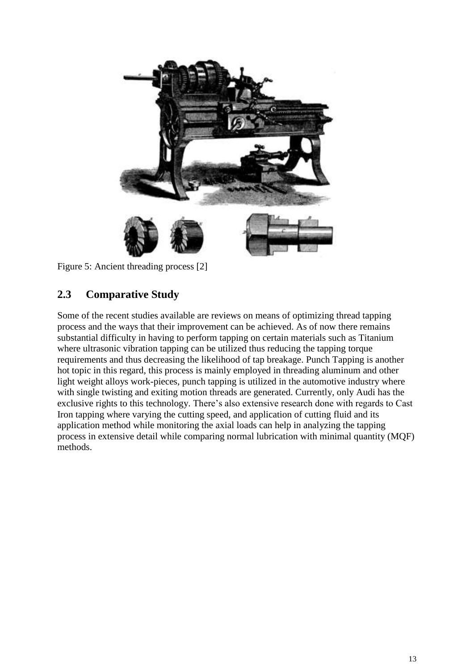

Figure 5: Ancient threading process [2]

## <span id="page-12-1"></span><span id="page-12-0"></span>**2.3 Comparative Study**

Some of the recent studies available are reviews on means of optimizing thread tapping process and the ways that their improvement can be achieved. As of now there remains substantial difficulty in having to perform tapping on certain materials such as Titanium where ultrasonic vibration tapping can be utilized thus reducing the tapping torque requirements and thus decreasing the likelihood of tap breakage. Punch Tapping is another hot topic in this regard, this process is mainly employed in threading aluminum and other light weight alloys work-pieces, punch tapping is utilized in the automotive industry where with single twisting and exiting motion threads are generated. Currently, only Audi has the exclusive rights to this technology. There's also extensive research done with regards to Cast Iron tapping where varying the cutting speed, and application of cutting fluid and its application method while monitoring the axial loads can help in analyzing the tapping process in extensive detail while comparing normal lubrication with minimal quantity (MQF) methods.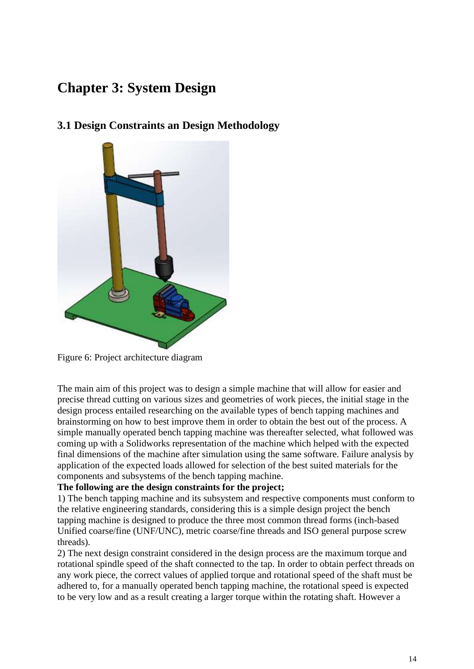## <span id="page-13-1"></span>**Chapter 3: System Design**

## <span id="page-13-2"></span>**3.1 Design Constraints an Design Methodology**



Figure 6: Project architecture diagram

<span id="page-13-0"></span>The main aim of this project was to design a simple machine that will allow for easier and precise thread cutting on various sizes and geometries of work pieces, the initial stage in the design process entailed researching on the available types of bench tapping machines and brainstorming on how to best improve them in order to obtain the best out of the process. A simple manually operated bench tapping machine was thereafter selected, what followed was coming up with a Solidworks representation of the machine which helped with the expected final dimensions of the machine after simulation using the same software. Failure analysis by application of the expected loads allowed for selection of the best suited materials for the components and subsystems of the bench tapping machine.

#### **The following are the design constraints for the project;**

1) The bench tapping machine and its subsystem and respective components must conform to the relative engineering standards, considering this is a simple design project the bench tapping machine is designed to produce the three most common thread forms (inch-based Unified coarse/fine (UNF/UNC), metric coarse/fine threads and ISO general purpose screw threads).

2) The next design constraint considered in the design process are the maximum torque and rotational spindle speed of the shaft connected to the tap. In order to obtain perfect threads on any work piece, the correct values of applied torque and rotational speed of the shaft must be adhered to, for a manually operated bench tapping machine, the rotational speed is expected to be very low and as a result creating a larger torque within the rotating shaft. However a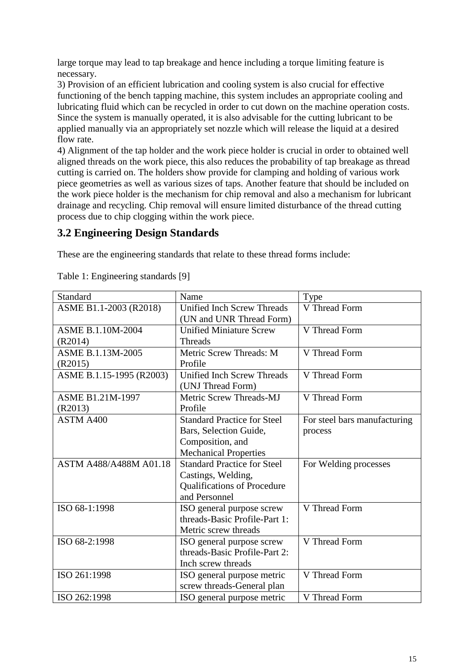large torque may lead to tap breakage and hence including a torque limiting feature is necessary.

3) Provision of an efficient lubrication and cooling system is also crucial for effective functioning of the bench tapping machine, this system includes an appropriate cooling and lubricating fluid which can be recycled in order to cut down on the machine operation costs. Since the system is manually operated, it is also advisable for the cutting lubricant to be applied manually via an appropriately set nozzle which will release the liquid at a desired flow rate.

4) Alignment of the tap holder and the work piece holder is crucial in order to obtained well aligned threads on the work piece, this also reduces the probability of tap breakage as thread cutting is carried on. The holders show provide for clamping and holding of various work piece geometries as well as various sizes of taps. Another feature that should be included on the work piece holder is the mechanism for chip removal and also a mechanism for lubricant drainage and recycling. Chip removal will ensure limited disturbance of the thread cutting process due to chip clogging within the work piece.

## <span id="page-14-1"></span>**3.2 Engineering Design Standards**

These are the engineering standards that relate to these thread forms include:

| Standard                 | Name                               | Type                         |
|--------------------------|------------------------------------|------------------------------|
| ASME B1.1-2003 (R2018)   | <b>Unified Inch Screw Threads</b>  | V Thread Form                |
|                          | (UN and UNR Thread Form)           |                              |
| <b>ASME B.1.10M-2004</b> | <b>Unified Miniature Screw</b>     | V Thread Form                |
| (R2014)                  | <b>Threads</b>                     |                              |
| ASME B.1.13M-2005        | Metric Screw Threads: M            | V Thread Form                |
| (R2015)                  | Profile                            |                              |
| ASME B.1.15-1995 (R2003) | <b>Unified Inch Screw Threads</b>  | V Thread Form                |
|                          | (UNJ Thread Form)                  |                              |
| <b>ASME B1.21M-1997</b>  | Metric Screw Threads-MJ            | V Thread Form                |
| (R2013)                  | Profile                            |                              |
| ASTM A400                | <b>Standard Practice for Steel</b> | For steel bars manufacturing |
|                          | Bars, Selection Guide,             | process                      |
|                          | Composition, and                   |                              |
|                          | <b>Mechanical Properties</b>       |                              |
| ASTM A488/A488M A01.18   | <b>Standard Practice for Steel</b> | For Welding processes        |
|                          | Castings, Welding,                 |                              |
|                          | <b>Qualifications of Procedure</b> |                              |
|                          | and Personnel                      |                              |
| ISO 68-1:1998            | ISO general purpose screw          | V Thread Form                |
|                          | threads-Basic Profile-Part 1:      |                              |
|                          | Metric screw threads               |                              |
| ISO 68-2:1998            | ISO general purpose screw          | V Thread Form                |
|                          | threads-Basic Profile-Part 2:      |                              |
|                          | Inch screw threads                 |                              |
| ISO 261:1998             | ISO general purpose metric         | V Thread Form                |
|                          | screw threads-General plan         |                              |
| ISO 262:1998             | ISO general purpose metric         | V Thread Form                |

<span id="page-14-0"></span>Table 1: Engineering standards [9]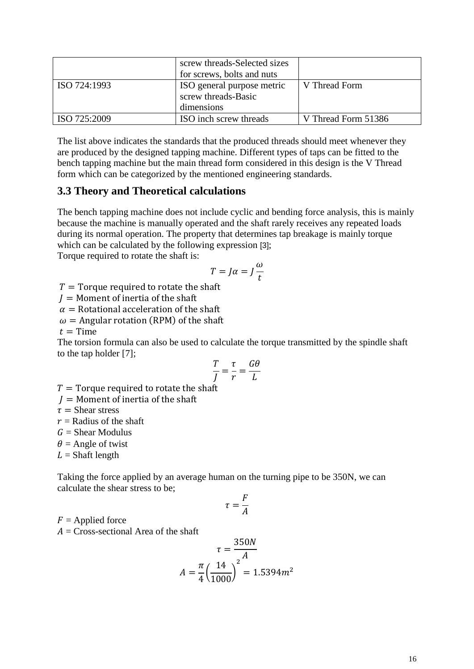|              | screw threads-Selected sizes<br>for screws, bolts and nuts      |                     |
|--------------|-----------------------------------------------------------------|---------------------|
| ISO 724:1993 | ISO general purpose metric<br>screw threads-Basic<br>dimensions | V Thread Form       |
| ISO 725:2009 | ISO inch screw threads                                          | V Thread Form 51386 |

The list above indicates the standards that the produced threads should meet whenever they are produced by the designed tapping machine. Different types of taps can be fitted to the bench tapping machine but the main thread form considered in this design is the V Thread form which can be categorized by the mentioned engineering standards.

#### <span id="page-15-0"></span>**3.3 Theory and Theoretical calculations**

The bench tapping machine does not include cyclic and bending force analysis, this is mainly because the machine is manually operated and the shaft rarely receives any repeated loads during its normal operation. The property that determines tap breakage is mainly torque which can be calculated by the following expression [3];

Torque required to rotate the shaft is:

$$
T = J\alpha = J\frac{\omega}{t}
$$

 $T =$  Torque required to rotate the shaft

 $I =$  Moment of inertia of the shaft

 $\alpha$  = Rotational acceleration of the shaft

 $\omega$  = Angular rotation (RPM) of the shaft

 $t =$  Time

The torsion formula can also be used to calculate the torque transmitted by the spindle shaft to the tap holder [7];

$$
\frac{T}{J} = \frac{\tau}{r} = \frac{G\theta}{L}
$$

 $T =$  Torque required to rotate the shaft

 $I =$  Moment of inertia of the shaft

 $\tau$  = Shear stress

 $r =$ Radius of the shaft

 $G =$  Shear Modulus

 $\theta$  = Angle of twist

 $L =$ Shaft length

Taking the force applied by an average human on the turning pipe to be 350N, we can calculate the shear stress to be;

$$
\tau = \frac{F}{A}
$$

 $F =$  Applied force

 $A = Cross-sectional$  Area of the shaft

$$
\tau = \frac{350N}{A}
$$

$$
A = \frac{\pi}{4} \left(\frac{14}{1000}\right)^2 = 1.5394m^2
$$

55050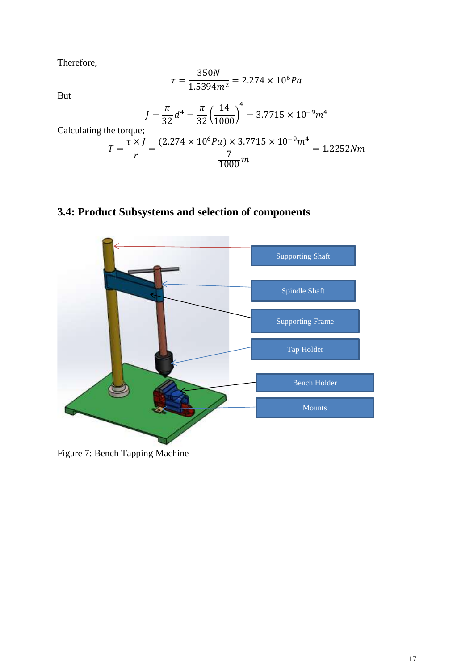Therefore,

$$
\tau = \frac{350N}{1.5394m^2} = 2.274 \times 10^6 Pa
$$

But

$$
J = \frac{\pi}{32}d^4 = \frac{\pi}{32} \left(\frac{14}{1000}\right)^4 = 3.7715 \times 10^{-9} m^4
$$

Calculating the torque;

$$
T = \frac{\tau \times j}{r} = \frac{(2.274 \times 10^6 Pa) \times 3.7715 \times 10^{-9} m^4}{\frac{7}{1000} m} = 1.2252 N m
$$

## <span id="page-16-1"></span>**3.4: Product Subsystems and selection of components**



<span id="page-16-0"></span>Figure 7: Bench Tapping Machine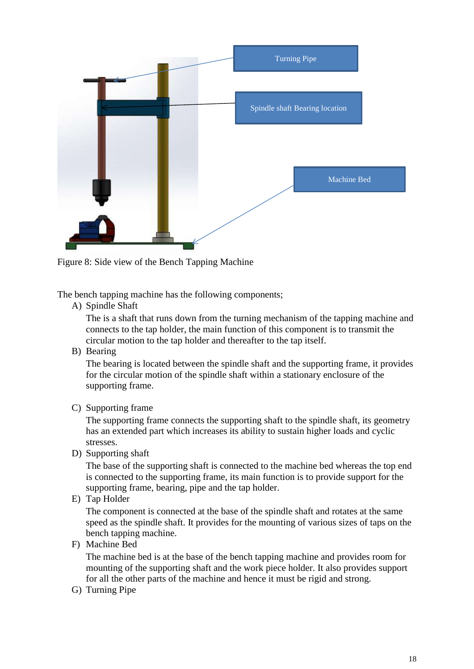

Figure 8: Side view of the Bench Tapping Machine

<span id="page-17-0"></span>The bench tapping machine has the following components;

A) Spindle Shaft

The is a shaft that runs down from the turning mechanism of the tapping machine and connects to the tap holder, the main function of this component is to transmit the circular motion to the tap holder and thereafter to the tap itself.

B) Bearing

The bearing is located between the spindle shaft and the supporting frame, it provides for the circular motion of the spindle shaft within a stationary enclosure of the supporting frame.

C) Supporting frame

The supporting frame connects the supporting shaft to the spindle shaft, its geometry has an extended part which increases its ability to sustain higher loads and cyclic stresses.

D) Supporting shaft

The base of the supporting shaft is connected to the machine bed whereas the top end is connected to the supporting frame, its main function is to provide support for the supporting frame, bearing, pipe and the tap holder.

E) Tap Holder

The component is connected at the base of the spindle shaft and rotates at the same speed as the spindle shaft. It provides for the mounting of various sizes of taps on the bench tapping machine.

F) Machine Bed

The machine bed is at the base of the bench tapping machine and provides room for mounting of the supporting shaft and the work piece holder. It also provides support for all the other parts of the machine and hence it must be rigid and strong.

G) Turning Pipe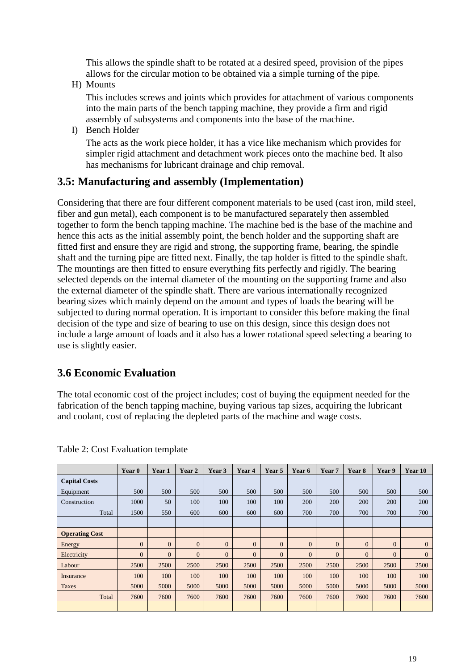This allows the spindle shaft to be rotated at a desired speed, provision of the pipes allows for the circular motion to be obtained via a simple turning of the pipe.

H) Mounts

This includes screws and joints which provides for attachment of various components into the main parts of the bench tapping machine, they provide a firm and rigid assembly of subsystems and components into the base of the machine.

I) Bench Holder

The acts as the work piece holder, it has a vice like mechanism which provides for simpler rigid attachment and detachment work pieces onto the machine bed. It also has mechanisms for lubricant drainage and chip removal.

#### <span id="page-18-1"></span>**3.5: Manufacturing and assembly (Implementation)**

Considering that there are four different component materials to be used (cast iron, mild steel, fiber and gun metal), each component is to be manufactured separately then assembled together to form the bench tapping machine. The machine bed is the base of the machine and hence this acts as the initial assembly point, the bench holder and the supporting shaft are fitted first and ensure they are rigid and strong, the supporting frame, bearing, the spindle shaft and the turning pipe are fitted next. Finally, the tap holder is fitted to the spindle shaft. The mountings are then fitted to ensure everything fits perfectly and rigidly. The bearing selected depends on the internal diameter of the mounting on the supporting frame and also the external diameter of the spindle shaft. There are various internationally recognized bearing sizes which mainly depend on the amount and types of loads the bearing will be subjected to during normal operation. It is important to consider this before making the final decision of the type and size of bearing to use on this design, since this design does not include a large amount of loads and it also has a lower rotational speed selecting a bearing to use is slightly easier.

### <span id="page-18-2"></span>**3.6 Economic Evaluation**

The total economic cost of the project includes; cost of buying the equipment needed for the fabrication of the bench tapping machine, buying various tap sizes, acquiring the lubricant and coolant, cost of replacing the depleted parts of the machine and wage costs.

|                       | Year 0       | Year 1       | Year 2         | Year 3       | Year 4   | Year 5       | Year 6         | Year 7       | Year 8       | Year 9         | <b>Year 10</b> |
|-----------------------|--------------|--------------|----------------|--------------|----------|--------------|----------------|--------------|--------------|----------------|----------------|
| <b>Capital Costs</b>  |              |              |                |              |          |              |                |              |              |                |                |
| Equipment             | 500          | 500          | 500            | 500          | 500      | 500          | 500            | 500          | 500          | 500            | 500            |
| Construction          | 1000         | 50           | 100            | 100          | 100      | 100          | 200            | 200          | 200          | 200            | 200            |
| Total                 | 1500         | 550          | 600            | 600          | 600      | 600          | 700            | 700          | 700          | 700            | 700            |
|                       |              |              |                |              |          |              |                |              |              |                |                |
| <b>Operating Cost</b> |              |              |                |              |          |              |                |              |              |                |                |
| Energy                | $\mathbf{0}$ | $\mathbf{0}$ | $\mathbf{0}$   | $\mathbf{0}$ | $\Omega$ | $\mathbf{0}$ | $\overline{0}$ | $\mathbf{0}$ | $\mathbf{0}$ | $\overline{0}$ | $\mathbf{0}$   |
| Electricity           | $\Omega$     | $\Omega$     | $\overline{0}$ | $\Omega$     | $\Omega$ | $\Omega$     | $\Omega$       | $\Omega$     | $\Omega$     | $\Omega$       | $\mathbf{0}$   |
| Labour                | 2500         | 2500         | 2500           | 2500         | 2500     | 2500         | 2500           | 2500         | 2500         | 2500           | 2500           |
| Insurance             | 100          | 100          | 100            | 100          | 100      | 100          | 100            | 100          | 100          | 100            | 100            |
| <b>Taxes</b>          | 5000         | 5000         | 5000           | 5000         | 5000     | 5000         | 5000           | 5000         | 5000         | 5000           | 5000           |
| Total                 | 7600         | 7600         | 7600           | 7600         | 7600     | 7600         | 7600           | 7600         | 7600         | 7600           | 7600           |
|                       |              |              |                |              |          |              |                |              |              |                |                |

<span id="page-18-0"></span>Table 2: Cost Evaluation template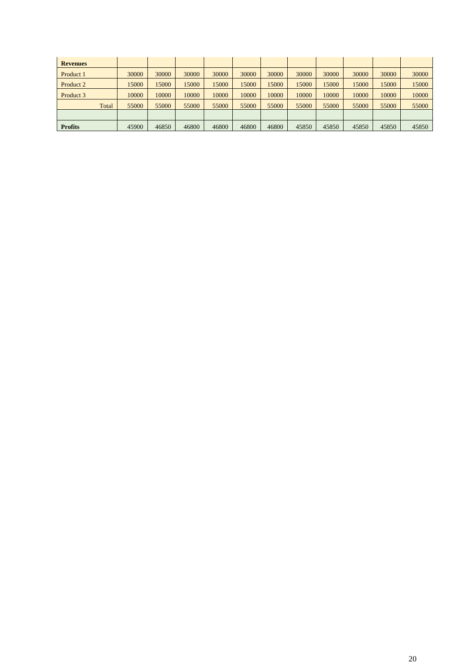| <b>Revenues</b> |       |       |       |       |       |       |       |       |       |       |       |       |
|-----------------|-------|-------|-------|-------|-------|-------|-------|-------|-------|-------|-------|-------|
| Product 1       |       | 30000 | 30000 | 30000 | 30000 | 30000 | 30000 | 30000 | 30000 | 30000 | 30000 | 30000 |
| Product 2       |       | 15000 | 15000 | 15000 | 15000 | 15000 | 15000 | 15000 | 15000 | 15000 | 15000 | 15000 |
| Product 3       |       | 10000 | 10000 | 10000 | 10000 | 10000 | 10000 | 10000 | 10000 | 10000 | 10000 | 10000 |
|                 | Total | 55000 | 55000 | 55000 | 55000 | 55000 | 55000 | 55000 | 55000 | 55000 | 55000 | 55000 |
|                 |       |       |       |       |       |       |       |       |       |       |       |       |
| <b>Profits</b>  |       | 45900 | 46850 | 46800 | 46800 | 46800 | 46800 | 45850 | 45850 | 45850 | 45850 | 45850 |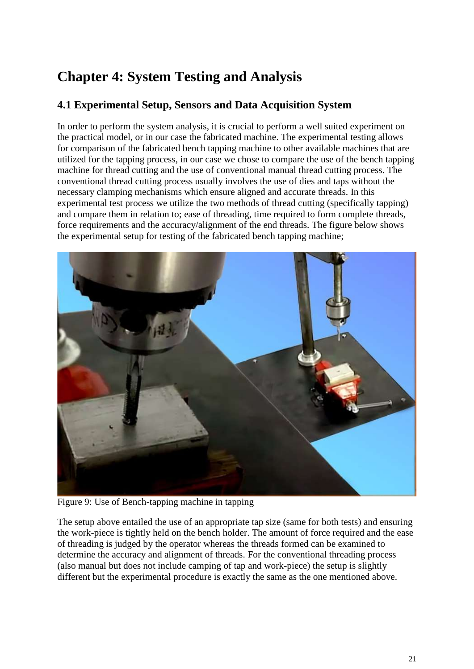## <span id="page-20-1"></span>**Chapter 4: System Testing and Analysis**

## <span id="page-20-2"></span>**4.1 Experimental Setup, Sensors and Data Acquisition System**

In order to perform the system analysis, it is crucial to perform a well suited experiment on the practical model, or in our case the fabricated machine. The experimental testing allows for comparison of the fabricated bench tapping machine to other available machines that are utilized for the tapping process, in our case we chose to compare the use of the bench tapping machine for thread cutting and the use of conventional manual thread cutting process. The conventional thread cutting process usually involves the use of dies and taps without the necessary clamping mechanisms which ensure aligned and accurate threads. In this experimental test process we utilize the two methods of thread cutting (specifically tapping) and compare them in relation to; ease of threading, time required to form complete threads, force requirements and the accuracy/alignment of the end threads. The figure below shows the experimental setup for testing of the fabricated bench tapping machine;



Figure 9: Use of Bench-tapping machine in tapping

<span id="page-20-0"></span>The setup above entailed the use of an appropriate tap size (same for both tests) and ensuring the work-piece is tightly held on the bench holder. The amount of force required and the ease of threading is judged by the operator whereas the threads formed can be examined to determine the accuracy and alignment of threads. For the conventional threading process (also manual but does not include camping of tap and work-piece) the setup is slightly different but the experimental procedure is exactly the same as the one mentioned above.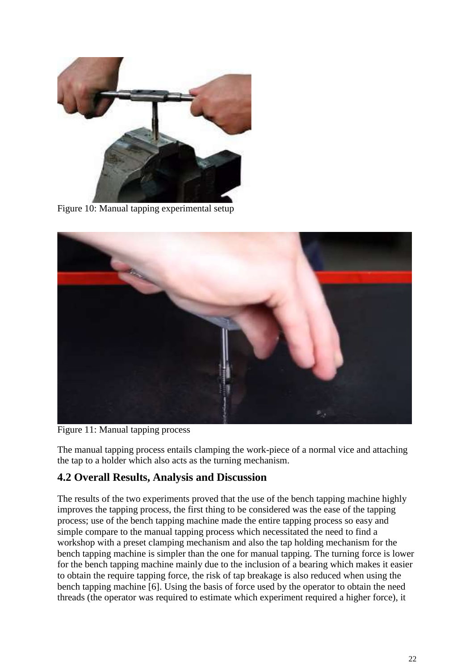

Figure 10: Manual tapping experimental setup

<span id="page-21-0"></span>

Figure 11: Manual tapping process

<span id="page-21-1"></span>The manual tapping process entails clamping the work-piece of a normal vice and attaching the tap to a holder which also acts as the turning mechanism.

#### <span id="page-21-2"></span>**4.2 Overall Results, Analysis and Discussion**

The results of the two experiments proved that the use of the bench tapping machine highly improves the tapping process, the first thing to be considered was the ease of the tapping process; use of the bench tapping machine made the entire tapping process so easy and simple compare to the manual tapping process which necessitated the need to find a workshop with a preset clamping mechanism and also the tap holding mechanism for the bench tapping machine is simpler than the one for manual tapping. The turning force is lower for the bench tapping machine mainly due to the inclusion of a bearing which makes it easier to obtain the require tapping force, the risk of tap breakage is also reduced when using the bench tapping machine [6]. Using the basis of force used by the operator to obtain the need threads (the operator was required to estimate which experiment required a higher force), it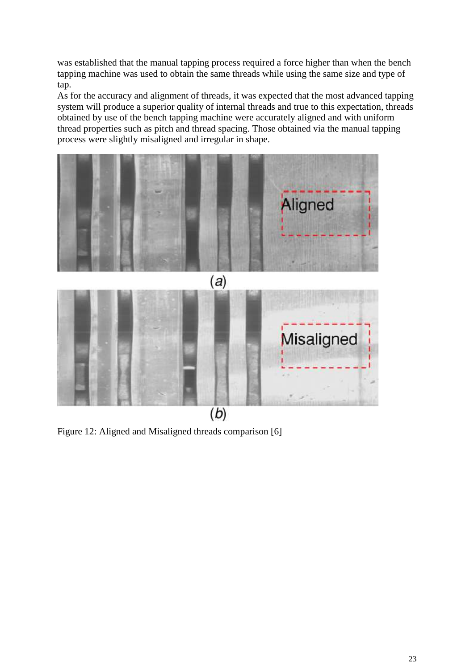was established that the manual tapping process required a force higher than when the bench tapping machine was used to obtain the same threads while using the same size and type of tap.

As for the accuracy and alignment of threads, it was expected that the most advanced tapping system will produce a superior quality of internal threads and true to this expectation, threads obtained by use of the bench tapping machine were accurately aligned and with uniform thread properties such as pitch and thread spacing. Those obtained via the manual tapping process were slightly misaligned and irregular in shape.



<span id="page-22-0"></span>Figure 12: Aligned and Misaligned threads comparison [6]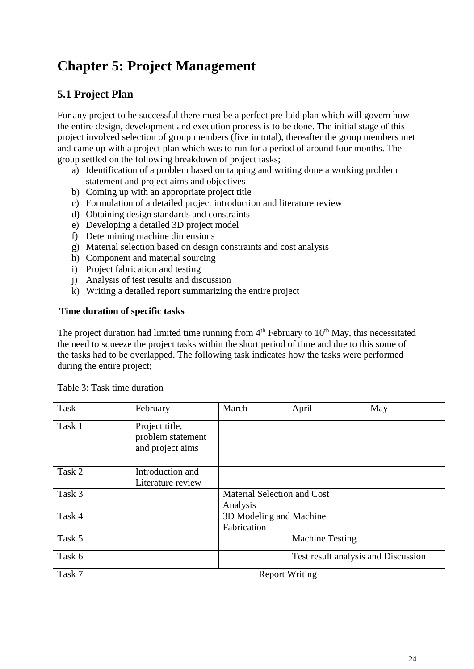## <span id="page-23-1"></span>**Chapter 5: Project Management**

## <span id="page-23-2"></span>**5.1 Project Plan**

For any project to be successful there must be a perfect pre-laid plan which will govern how the entire design, development and execution process is to be done. The initial stage of this project involved selection of group members (five in total), thereafter the group members met and came up with a project plan which was to run for a period of around four months. The group settled on the following breakdown of project tasks;

- a) Identification of a problem based on tapping and writing done a working problem statement and project aims and objectives
- b) Coming up with an appropriate project title
- c) Formulation of a detailed project introduction and literature review
- d) Obtaining design standards and constraints
- e) Developing a detailed 3D project model
- f) Determining machine dimensions
- g) Material selection based on design constraints and cost analysis
- h) Component and material sourcing
- i) Project fabrication and testing
- j) Analysis of test results and discussion
- k) Writing a detailed report summarizing the entire project

#### **Time duration of specific tasks**

The project duration had limited time running from  $4<sup>th</sup>$  February to  $10<sup>th</sup>$  May, this necessitated the need to squeeze the project tasks within the short period of time and due to this some of the tasks had to be overlapped. The following task indicates how the tasks were performed during the entire project;

| Task   | February                                                | March                                          | April                               | May |  |  |
|--------|---------------------------------------------------------|------------------------------------------------|-------------------------------------|-----|--|--|
| Task 1 | Project title,<br>problem statement<br>and project aims |                                                |                                     |     |  |  |
| Task 2 | Introduction and<br>Literature review                   |                                                |                                     |     |  |  |
| Task 3 |                                                         | <b>Material Selection and Cost</b><br>Analysis |                                     |     |  |  |
| Task 4 |                                                         | 3D Modeling and Machine<br>Fabrication         |                                     |     |  |  |
| Task 5 |                                                         |                                                | <b>Machine Testing</b>              |     |  |  |
| Task 6 |                                                         |                                                | Test result analysis and Discussion |     |  |  |
| Task 7 | <b>Report Writing</b>                                   |                                                |                                     |     |  |  |

<span id="page-23-0"></span>Table 3: Task time duration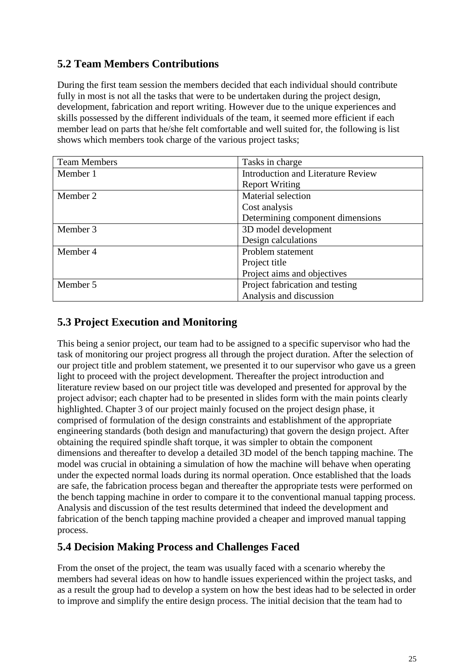## <span id="page-24-0"></span>**5.2 Team Members Contributions**

During the first team session the members decided that each individual should contribute fully in most is not all the tasks that were to be undertaken during the project design, development, fabrication and report writing. However due to the unique experiences and skills possessed by the different individuals of the team, it seemed more efficient if each member lead on parts that he/she felt comfortable and well suited for, the following is list shows which members took charge of the various project tasks;

| <b>Team Members</b> | Tasks in charge                           |
|---------------------|-------------------------------------------|
| Member 1            | <b>Introduction and Literature Review</b> |
|                     | <b>Report Writing</b>                     |
| Member 2            | Material selection                        |
|                     | Cost analysis                             |
|                     | Determining component dimensions          |
| Member 3            | 3D model development                      |
|                     | Design calculations                       |
| Member 4            | Problem statement                         |
|                     | Project title                             |
|                     | Project aims and objectives               |
| Member 5            | Project fabrication and testing           |
|                     | Analysis and discussion                   |

## <span id="page-24-1"></span>**5.3 Project Execution and Monitoring**

This being a senior project, our team had to be assigned to a specific supervisor who had the task of monitoring our project progress all through the project duration. After the selection of our project title and problem statement, we presented it to our supervisor who gave us a green light to proceed with the project development. Thereafter the project introduction and literature review based on our project title was developed and presented for approval by the project advisor; each chapter had to be presented in slides form with the main points clearly highlighted. Chapter 3 of our project mainly focused on the project design phase, it comprised of formulation of the design constraints and establishment of the appropriate engineering standards (both design and manufacturing) that govern the design project. After obtaining the required spindle shaft torque, it was simpler to obtain the component dimensions and thereafter to develop a detailed 3D model of the bench tapping machine. The model was crucial in obtaining a simulation of how the machine will behave when operating under the expected normal loads during its normal operation. Once established that the loads are safe, the fabrication process began and thereafter the appropriate tests were performed on the bench tapping machine in order to compare it to the conventional manual tapping process. Analysis and discussion of the test results determined that indeed the development and fabrication of the bench tapping machine provided a cheaper and improved manual tapping process.

### <span id="page-24-2"></span>**5.4 Decision Making Process and Challenges Faced**

From the onset of the project, the team was usually faced with a scenario whereby the members had several ideas on how to handle issues experienced within the project tasks, and as a result the group had to develop a system on how the best ideas had to be selected in order to improve and simplify the entire design process. The initial decision that the team had to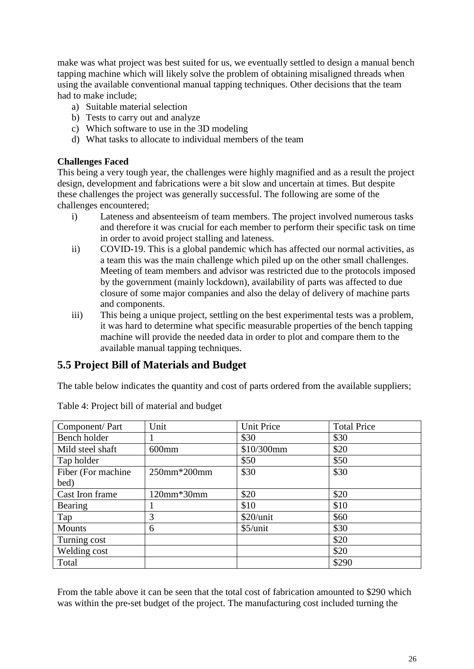make was what project was best suited for us, we eventually settled to design a manual bench tapping machine which will likely solve the problem of obtaining misaligned threads when using the available conventional manual tapping techniques. Other decisions that the team had to make include;

- a) Suitable material selection
- b) Tests to carry out and analyze
- c) Which software to use in the 3D modeling
- d) What tasks to allocate to individual members of the team

#### **Challenges Faced**

This being a very tough year, the challenges were highly magnified and as a result the project design, development and fabrications were a bit slow and uncertain at times. But despite these challenges the project was generally successful. The following are some of the challenges encountered;

- i) Lateness and absenteeism of team members. The project involved numerous tasks and therefore it was crucial for each member to perform their specific task on time in order to avoid project stalling and lateness.
- ii) COVID-19. This is a global pandemic which has affected our normal activities, as a team this was the main challenge which piled up on the other small challenges. Meeting of team members and advisor was restricted due to the protocols imposed by the government (mainly lockdown), availability of parts was affected to due closure of some major companies and also the delay of delivery of machine parts and components.
- iii) This being a unique project, settling on the best experimental tests was a problem, it was hard to determine what specific measurable properties of the bench tapping machine will provide the needed data in order to plot and compare them to the available manual tapping techniques.

### <span id="page-25-1"></span>**5.5 Project Bill of Materials and Budget**

The table below indicates the quantity and cost of parts ordered from the available suppliers;

| Component/Part     | Unit        | <b>Unit Price</b> | <b>Total Price</b> |
|--------------------|-------------|-------------------|--------------------|
| Bench holder       |             | \$30              | \$30               |
| Mild steel shaft   | $600$ mm    | \$10/300mm        | \$20               |
| Tap holder         |             | \$50              | \$50               |
| Fiber (For machine | 250mm*200mm | \$30              | \$30               |
| bed)               |             |                   |                    |
| Cast Iron frame    | 120mm*30mm  | \$20              | \$20               |
| <b>Bearing</b>     |             | \$10              | \$10               |
| Tap                | 3           | \$20/unit         | \$60               |
| <b>Mounts</b>      | 6           | \$5/unit          | \$30               |
| Turning cost       |             |                   | \$20               |
| Welding cost       |             |                   | \$20               |
| Total              |             |                   | \$290              |

<span id="page-25-0"></span>Table 4: Project bill of material and budget

From the table above it can be seen that the total cost of fabrication amounted to \$290 which was within the pre-set budget of the project. The manufacturing cost included turning the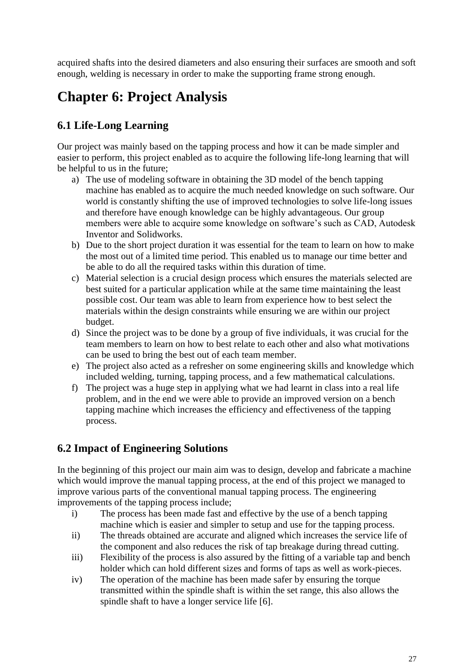acquired shafts into the desired diameters and also ensuring their surfaces are smooth and soft enough, welding is necessary in order to make the supporting frame strong enough.

## <span id="page-26-0"></span>**Chapter 6: Project Analysis**

## <span id="page-26-1"></span>**6.1 Life-Long Learning**

Our project was mainly based on the tapping process and how it can be made simpler and easier to perform, this project enabled as to acquire the following life-long learning that will be helpful to us in the future;

- a) The use of modeling software in obtaining the 3D model of the bench tapping machine has enabled as to acquire the much needed knowledge on such software. Our world is constantly shifting the use of improved technologies to solve life-long issues and therefore have enough knowledge can be highly advantageous. Our group members were able to acquire some knowledge on software's such as CAD, Autodesk Inventor and Solidworks.
- b) Due to the short project duration it was essential for the team to learn on how to make the most out of a limited time period. This enabled us to manage our time better and be able to do all the required tasks within this duration of time.
- c) Material selection is a crucial design process which ensures the materials selected are best suited for a particular application while at the same time maintaining the least possible cost. Our team was able to learn from experience how to best select the materials within the design constraints while ensuring we are within our project budget.
- d) Since the project was to be done by a group of five individuals, it was crucial for the team members to learn on how to best relate to each other and also what motivations can be used to bring the best out of each team member.
- e) The project also acted as a refresher on some engineering skills and knowledge which included welding, turning, tapping process, and a few mathematical calculations.
- f) The project was a huge step in applying what we had learnt in class into a real life problem, and in the end we were able to provide an improved version on a bench tapping machine which increases the efficiency and effectiveness of the tapping process.

## <span id="page-26-2"></span>**6.2 Impact of Engineering Solutions**

In the beginning of this project our main aim was to design, develop and fabricate a machine which would improve the manual tapping process, at the end of this project we managed to improve various parts of the conventional manual tapping process. The engineering improvements of the tapping process include;

- i) The process has been made fast and effective by the use of a bench tapping machine which is easier and simpler to setup and use for the tapping process.
- ii) The threads obtained are accurate and aligned which increases the service life of the component and also reduces the risk of tap breakage during thread cutting.
- iii) Flexibility of the process is also assured by the fitting of a variable tap and bench holder which can hold different sizes and forms of taps as well as work-pieces.
- iv) The operation of the machine has been made safer by ensuring the torque transmitted within the spindle shaft is within the set range, this also allows the spindle shaft to have a longer service life [6].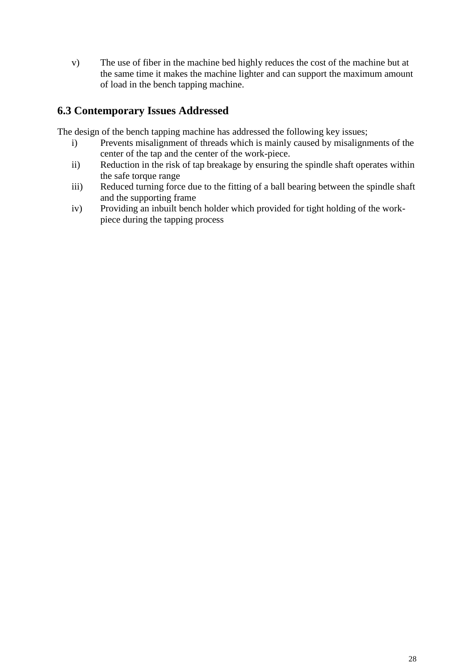v) The use of fiber in the machine bed highly reduces the cost of the machine but at the same time it makes the machine lighter and can support the maximum amount of load in the bench tapping machine.

## <span id="page-27-0"></span>**6.3 Contemporary Issues Addressed**

The design of the bench tapping machine has addressed the following key issues;

- i) Prevents misalignment of threads which is mainly caused by misalignments of the center of the tap and the center of the work-piece.
- ii) Reduction in the risk of tap breakage by ensuring the spindle shaft operates within the safe torque range
- iii) Reduced turning force due to the fitting of a ball bearing between the spindle shaft and the supporting frame
- iv) Providing an inbuilt bench holder which provided for tight holding of the workpiece during the tapping process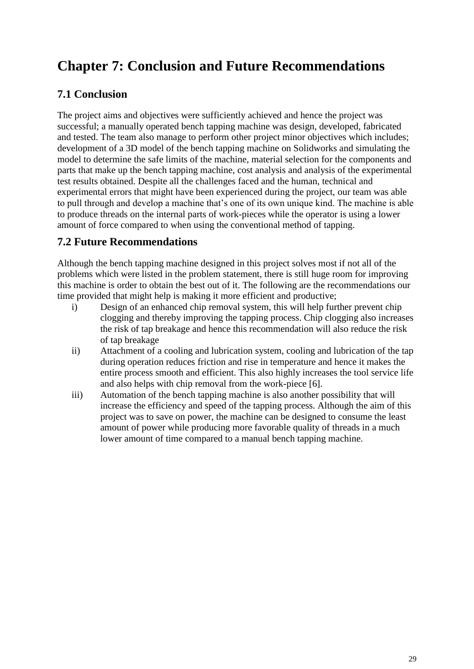## <span id="page-28-0"></span>**Chapter 7: Conclusion and Future Recommendations**

## <span id="page-28-1"></span>**7.1 Conclusion**

The project aims and objectives were sufficiently achieved and hence the project was successful; a manually operated bench tapping machine was design, developed, fabricated and tested. The team also manage to perform other project minor objectives which includes; development of a 3D model of the bench tapping machine on Solidworks and simulating the model to determine the safe limits of the machine, material selection for the components and parts that make up the bench tapping machine, cost analysis and analysis of the experimental test results obtained. Despite all the challenges faced and the human, technical and experimental errors that might have been experienced during the project, our team was able to pull through and develop a machine that's one of its own unique kind. The machine is able to produce threads on the internal parts of work-pieces while the operator is using a lower amount of force compared to when using the conventional method of tapping.

## <span id="page-28-2"></span>**7.2 Future Recommendations**

Although the bench tapping machine designed in this project solves most if not all of the problems which were listed in the problem statement, there is still huge room for improving this machine is order to obtain the best out of it. The following are the recommendations our time provided that might help is making it more efficient and productive;

- i) Design of an enhanced chip removal system, this will help further prevent chip clogging and thereby improving the tapping process. Chip clogging also increases the risk of tap breakage and hence this recommendation will also reduce the risk of tap breakage
- ii) Attachment of a cooling and lubrication system, cooling and lubrication of the tap during operation reduces friction and rise in temperature and hence it makes the entire process smooth and efficient. This also highly increases the tool service life and also helps with chip removal from the work-piece [6].
- iii) Automation of the bench tapping machine is also another possibility that will increase the efficiency and speed of the tapping process. Although the aim of this project was to save on power, the machine can be designed to consume the least amount of power while producing more favorable quality of threads in a much lower amount of time compared to a manual bench tapping machine.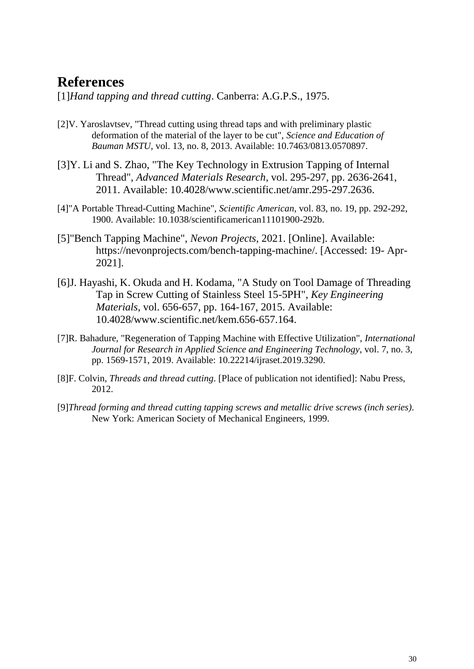## <span id="page-29-0"></span>**References**

[1]*Hand tapping and thread cutting*. Canberra: A.G.P.S., 1975.

- [2]V. Yaroslavtsev, "Thread cutting using thread taps and with preliminary plastic deformation of the material of the layer to be cut", *Science and Education of Bauman MSTU*, vol. 13, no. 8, 2013. Available: 10.7463/0813.0570897.
- [3]Y. Li and S. Zhao, "The Key Technology in Extrusion Tapping of Internal Thread", *Advanced Materials Research*, vol. 295-297, pp. 2636-2641, 2011. Available: 10.4028/www.scientific.net/amr.295-297.2636.
- [4]"A Portable Thread-Cutting Machine", *Scientific American*, vol. 83, no. 19, pp. 292-292, 1900. Available: 10.1038/scientificamerican11101900-292b.
- [5]"Bench Tapping Machine", *Nevon Projects*, 2021. [Online]. Available: https://nevonprojects.com/bench-tapping-machine/. [Accessed: 19- Apr-2021].
- [6]J. Hayashi, K. Okuda and H. Kodama, "A Study on Tool Damage of Threading Tap in Screw Cutting of Stainless Steel 15-5PH", *Key Engineering Materials*, vol. 656-657, pp. 164-167, 2015. Available: 10.4028/www.scientific.net/kem.656-657.164.
- [7]R. Bahadure, "Regeneration of Tapping Machine with Effective Utilization", *International Journal for Research in Applied Science and Engineering Technology*, vol. 7, no. 3, pp. 1569-1571, 2019. Available: 10.22214/ijraset.2019.3290.
- [8]F. Colvin, *Threads and thread cutting*. [Place of publication not identified]: Nabu Press, 2012.
- [9]*Thread forming and thread cutting tapping screws and metallic drive screws (inch series)*. New York: American Society of Mechanical Engineers, 1999.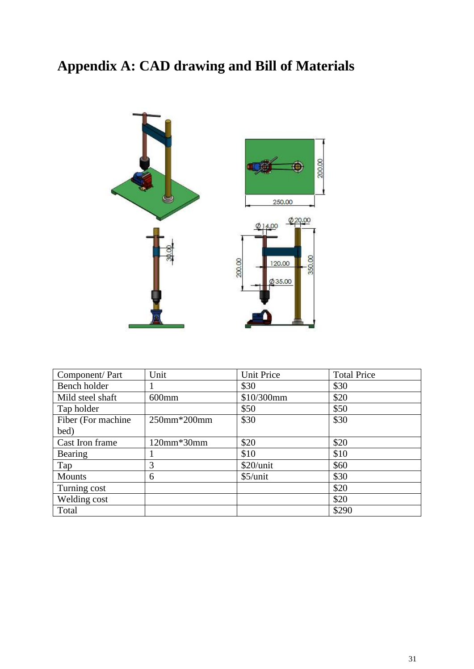# <span id="page-30-0"></span>**Appendix A: CAD drawing and Bill of Materials**



| Component/Part     | Unit              | Unit Price | <b>Total Price</b> |
|--------------------|-------------------|------------|--------------------|
| Bench holder       |                   | \$30       | \$30               |
| Mild steel shaft   | $600$ mm          | \$10/300mm | \$20               |
| Tap holder         |                   | \$50       | \$50               |
| Fiber (For machine | 250mm*200mm       | \$30       | \$30               |
| bed)               |                   |            |                    |
| Cast Iron frame    | $120$ mm $*30$ mm | \$20       | \$20               |
| Bearing            |                   | \$10       | \$10               |
| Tap                | 3                 | \$20/unit  | \$60               |
| <b>Mounts</b>      | 6                 | $$5/$ unit | \$30               |
| Turning cost       |                   |            | \$20               |
| Welding cost       |                   |            | \$20               |
| Total              |                   |            | \$290              |